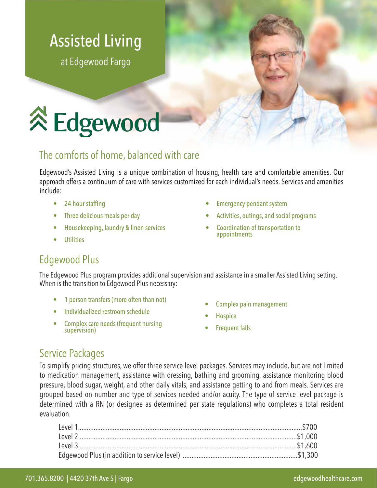# Assisted Living

at Edgewood Fargo

# **Edgewood**

#### The comforts of home, balanced with care

Edgewood's Assisted Living is a unique combination of housing, health care and comfortable amenities. Our approach offers a continuum of care with services customized for each individual's needs. Services and amenities include:

- 24 hour staffing
- Three delicious meals per day
- Housekeeping, laundry & linen services
- **Utilities**
- Emergency pendant system
- Activities, outings, and social programs
- Coordination of transportation to appointments

## Edgewood Plus

The Edgewood Plus program provides additional supervision and assistance in a smaller Assisted Living setting. When is the transition to Edgewood Plus necessary:

- 1 person transfers (more often than not)
- Individualized restroom schedule
- Complex care needs (frequent nursing supervision)
- Complex pain management
- **Hospice**
- **Frequent falls**

#### Service Packages

To simplify pricing structures, we offer three service level packages. Services may include, but are not limited to medication management, assistance with dressing, bathing and grooming, assistance monitoring blood pressure, blood sugar, weight, and other daily vitals, and assistance getting to and from meals. Services are grouped based on number and type of services needed and/or acuity. The type of service level package is determined with a RN (or designee as determined per state regulations) who completes a total resident evaluation.